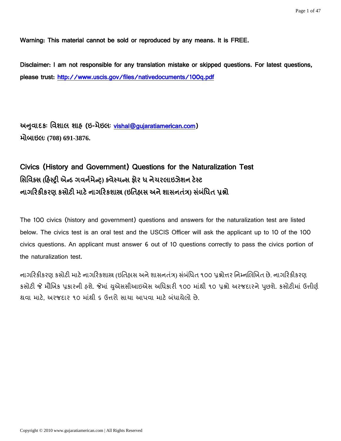Warning: This material cannot be sold or reproduced by any means. It is FREE.

Disclaimer: I am not responsible for any translation mistake or skipped questions. For latest questions, please trust:<http://www.uscis.gov/files/nativedocuments/100q.pdf>

અનુવાદકઃ વિશાલ શાહ્ (ઇ-મેઇલઃ [vishal@gujaratiamerican.com\)](mailto:vishal@gujaratiamerican.com) **(708) 691-3876.**

# Civics (History and Government) Questions for the Naturalization Test સિવિક્સ (ફિસ્ટ્રી એન્ડ ગવર્નમેન્ટ્ર) ક્વેસ્યન્સ ફોર ધ નેચરલાઇઝેશન ટેસ્ટ **( )** ધ

The 100 civics (history and government) questions and answers for the naturalization test are listed below. The civics test is an oral test and the USCIS Officer will ask the applicant up to 10 of the 100 civics questions. An applicant must answer 6 out of 10 questions correctly to pass the civics portion of the naturalization test.

નાગરિકીકરણ કસોટી માટે નાગરિકશાસ્ત્ર (ઇતિહ્નસ અને શાસનતંત્ર) સંબંધિત ૧૦૦ પ્રશ્નોત્તર નિમ્નલિખિત છે. નાગરિકીકરણ કસોટી જે મૌખિક પ્રકારની હશે. જેમાં યુએસસીઆઇએસ અધિકારી ૧૦૦ માંથી ૧૦ પ્રશ્નો અરજદારને પુછશે. કસોટીમાં ઉત્તીર્ણ થવા માટે. અરજદાર ૧૦ માંથી ૬ ઉત્તરો સાચા આપવા માટે બંધાયેલો છે.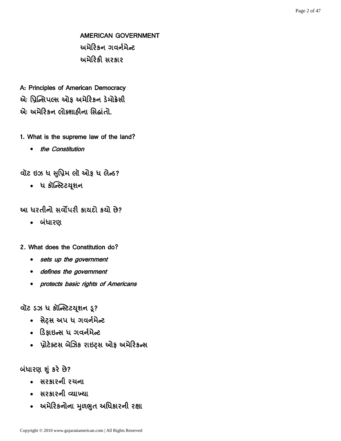AMERICAN GOVERNMENT અમેરિકન ગવર્નમેન્ટ અમેરિકી સરકાર

A: Principles of American Democracy એ: પ્રિન્સિપલ્સ ઓક અમેરિકન ડેમોક્રેસી એઃ અમેરિકન લોક્શાઠીના સિદ્ધાંતો.

- 1. What is the supreme law of the land?
	- the Constitution

વૉટ ઇઝ ધ સુપ્રિમ લૉ ઓફ ધ લેન્ડ?

• ધ કૉન્સ્ટિટયૂશન

આ ધરતીનો સર્વોપરી કાયદો કર્યો છે?

• બંધારણ

2. What does the Constitution do?

- sets up the government
- defines the government
- protects basic rights of Americans

વૉટ ડઝ ધ કૉન્સ્ટિટયૂશન ડૂ?

- સેટ્સ અપ ધ ગવર્નમેન્ટ
- ડિકાઇન્સ ધ ગવર્નમેન્ટ
- પ્રોટેક્ટસ બેઝિક રાઇટ્સ ઓફ અમેરિકન્સ

બંધારણ શું કરે છે?

- સરકારની રચના
- સરકારની વ્યાખ્યા
- અમેરિકનોના મુળભુત અધિકારની રક્ષા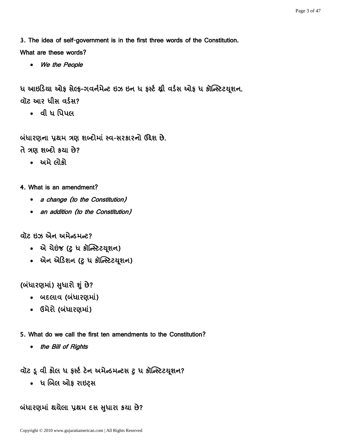3. The idea of self-government is in the first three words of the Constitution. What are these words?

We the People

ધ આઇડિયા ઓફ સેલ્ફ-ગવર્નમેન્ટ ઇઝ ઇન ધ ફર્સ્ટ થ્રી વર્ડસ ઓફ ધ કૉન્સ્ટિટયુશન. વૉટ આર ધીસ વર્ડસ?

• વી ધ પિપલ

બંધારણના પ્રથમ ત્રણ શબ્દોમાં સ્વ-સરકારનો ઉદ્દેશ છે.

- તે ત્રણ શબ્દો કથા છે?
	- અમે લોકો
- 4. What is an amendment?
	- a change (to the Constitution)
	- an addition (to the Constitution)

**diz ઇઝ એન અમેન્ડમન્ટ?** 

- એ ચેઇંજ (ટુ ધ કૉન્સ્ટિટયુશન)
- એન એડિશન (ટુ ધ કૉન્સ્ટિટયૂશન)

(બંધારણમાં) સુધારી શું છે?

- બદલાવ (બંધારણમાં)
- ઉમેરો (બંધારણમાં)

5. What do we call the first ten amendments to the Constitution?

• the Bill of Rights

વૉટ ડૂ વી કોલ ધ ફર્સ્ટ ટેન અમેન્ડમન્ટસ ટુ ધ કૉન્સ્ટિટયૂશન?

•ાધ બિલ ઓફ રાઇટ્સ

બંધારણમાં થયેલા પ્રથમ દસ સુધારા કયા છે?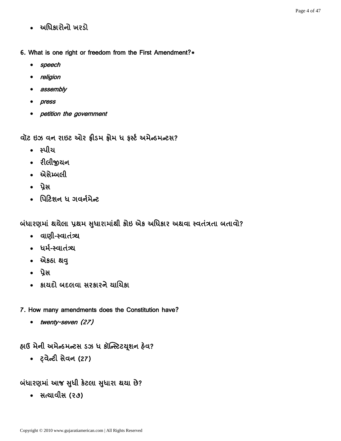- અધિકારોનો ખરડો
- 6. What is one right or freedom from the First Amendment?\*
	- speech
	- religion
	- assembly
	- press
	- petition the government

વૉટ ઇઝ વન રાઇટ ઓર ફ્રીડમ ફ્રોમ ધ કર્સ્ટ અમેન્ડમન્ટસ?

- સ્પીચ
- રીલીજીયન
- એસેમ્બલી
- પ્રેસ
- પિટિશન ધ ગવર્નમેન્ટ

બંધારણમાં થયેલા પ્રથમ સુધારામાંથી કોઇ એક અધિકાર અથવા સ્વતંત્રતા બતાવો?

- alll-स्वातंत्र्य
- ધર્મ-સ્વાતંત્ર્ય
- એકઠા થવુ
- પ્રેસ
- કાયદો બદલવા સરકારને ચાયિકા
- 7. How many amendments does the Constitution have?
	- twenty-seven (27)

હ્યઉ મેની અમેન્ડમન્ટસ ડઝ ધ કૉન્સ્ટિટયૂશન હેવ?

• ट़वेन्टी सेवन (27)

બંધારણમાં આજ સુધી કેટલા સુધારા થયા છે?

• સત્યાવીસ (૨૭)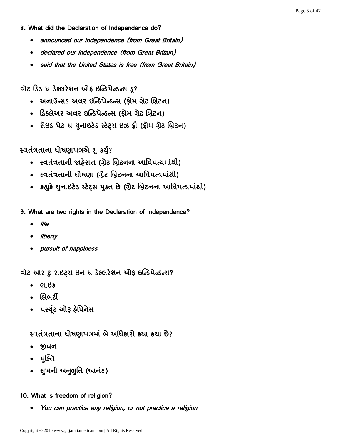#### 8. What did the Declaration of Independence do?

- announced our independence (from Great Britain)
- declared our independence (from Great Britain)
- said that the United States is free (from Great Britain)

વૉટ ડિડ ધ ડેક્લરેશન ઓફ ઇન્ડિપેન્ડન્સ ડ?

- અનાઉન્સડ અવર ઇન્ડિપેન્ડન્સ (ક્રોમ ગ્રેટ બ્રિટન)
- ડિક્લેઅર અવર ઇન્ડિપેન્ડન્સ (ક્રોમ ગ્રેટ બ્રિટન)
- સેઇડ ધેટ ધ યુનાઇટેડ સ્ટેટ્સ ઇઝ ફ્રી (ફ્રોમ ગ્રેટ બ્રિટન)

સ્વતંત્રતાના ધોષણાપત્રએ શું કર્યુ?

- સ્વતંત્રતાની જાહેરાત (ગ્રેટ બ્રિટનના આધિપત્યમાંથી)
- સ્વતંત્રતાની ધોષણા (ગ્રેટ બ્રિટનના આધિપત્યમાંથી)
- કહ્યુકે યુનાઇટેડ સ્ટેટ્સ મુક્ત છે (ગ્રેટ બ્રિટનના આધિપત્યમાંથી)
- 9. What are two rights in the Declaration of Independence?
	- life
	- liberty
	- pursuit of happiness

વૉટ આર ટુ રાઇટ્સ ઇન ધ ડેક્લરેશન ઓફ ઇન્ડિપેન્ડન્સ?

- લાઇક
- લિબર્ટી
- પર્સ્યુટ ઓફ હેપિનેસ

<u>સ્વતંત્રતાના ધોષણાપત્રમાં બે અધિકારો કયા કયા છે?</u>

- જીવન
- भक्ति
- સુખની અનુભુતિ (આનંદ)

#### 10. What is freedom of religion?

You can practice any religion, or not practice a religion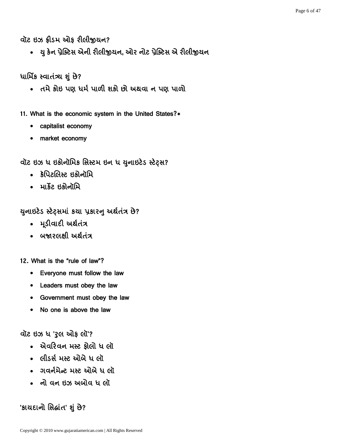વૉટ ઇઝ ફ્રીડમ ઓફ રીલીજીયન?

• યુ કેન પ્રેક્ટિસ એની રીલીજીયન, ઓર નોટ પ્રેક્ટિસ એ રીલીજીયન

ધાર્મિક સ્વાતંત્ર્ય શું છે?

• તમે કોઇ પણ ધર્મ પાળી શકો છો અથવા ન પણ પાળો

11. What is the economic system in the United States?\*

- capitalist economy
- market economy

વૉટ ઇઝ ધ ઇકોનૉમિક સિસ્ટમ ઇન ધ યુનાઇટેડ સ્ટેટ્સ?

- કૅપિટલિસ્ટ ઇકોનૉમિ
- માર્કેટ ઇકોનૉમિ

યુનાઇટેડ સ્ટેટ્સમાં કયા પ્રકારનુ અર્થતંત્ર છે?

- મુડીવાદી અર્થતંત્ર
- બજારલક્ષી અર્થતંત્ર
- 12 What is the "rule of law"?
	- Everyone must follow the law
	- Leaders must obey the law
	- Government must obey the law
	- No one is above the law

વૉટ ઇઝ ધ 'રૂલ ઓફ લૉ'?

- એવરિવન મસ્ટ કોલો ધ લૉ
- લીડર્સ મસ્ટ ઓબે ધ લૉ
- ગવર્નમેન્ટ મસ્ટ ઓબે ધ લૉ
- નો વન ઇઝ અબોવ ધ લો

'કાચદાનો સિદ્ધાંત' શું છે?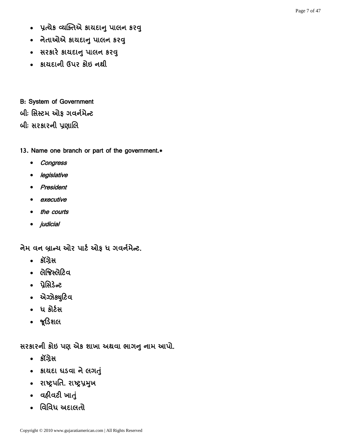- प्रत्ये व्यक्तिसे प्रायदानु पालन ९२वु
- નેતાઓએ કાયદાનુ પાલન કરવુ
- सरअरे अयद्यानु पालन ९२वु
- કાયદાની ઉપર કોઇ નથી

B: System of Government બીઃ સિસ્ટમ ઓક ગવર્નમેન્ટ બીઃ સરકારની પ્રણાલિ

13. Name one branch or part of the government.\*

- Congress
- legislative
- President
- executive
- the courts
- *judicial*

નેમ વન બ્રાન્ય ઓર પાર્ટ ઓફ ધ ગવર્નમેન્ટ.

- કૉંગ્રેસ
- લેજિસ્લેટિવ
- પ્રેપ્રિડેસટ
- એઝેક્યુટિવ
- ધ કોર્ટસ
- જૂડિશલ

સરકારની કોઇ પણ એક શાખા અથવા ભાગનુ નામ આપો.

- કૉંગ્રેસ
- કાયદા ધડવા ને લગતું
- રાષ્ટ્રપતિ. રાષ્ટ્રપ્રમુખ
- a&lad wid
- વિવિધ અદાલતો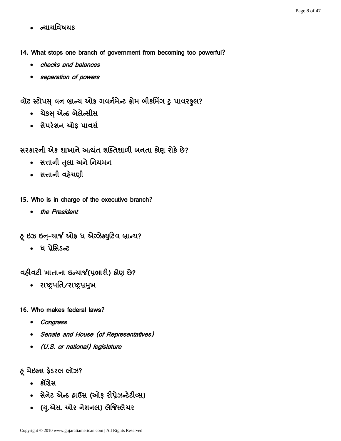- ન્યાયવિષયક
- 14. What stops one branch of government from becoming too powerful?
	- checks and balances
	- separation of powers

વૉટ સ્ટોપસ વન બ્રાન્ય ઓફ ગવર્નમેન્ટ ફ્રોમ બીકમિંગ ટુ પાવરફલ?

- ચેકસ એન્ડ બેલેન્સીસ
- સેપરેશન ઓફ પાવર્સ
- સરકારની એક શાખાને અત્યંત શક્તિશાળી બનતા કોણ રોકે છે?
	- સત્તાની તુલા અને નિયમન
	- સત્તાની વહેચણી
- 15. Who is in charge of the executive branch?
	- the President
- હ ઇઝ ઇન-ચાર્જ ઓફ ધ એઝેક્યુટિવ બ્રાન્ચ?
	- ધ પ્રેસિડન્ટ

વહીવટી ખાતાના ઇન્યાર્જ(પ્રભારી) કોણ છે?

- રાષ્ટ્રપતિ/રાષ્ટ્રપ્રમુખ
- 16. Who makes federal laws?
	- Congress
	- Senate and House (of Representatives)
	- (U.S. or national) legislature

#### ફ મેઇક્સ ફેડરલ લૉઝ?

- કૉંગ્રેસ
- સેનેટ એન્ડ હ્રાઉસ (ઓક રીપ્રેઝન્ટેટીવ્સ)
- (યુ.એસ. ઓર નેશનલ) લેજિસ્લેચર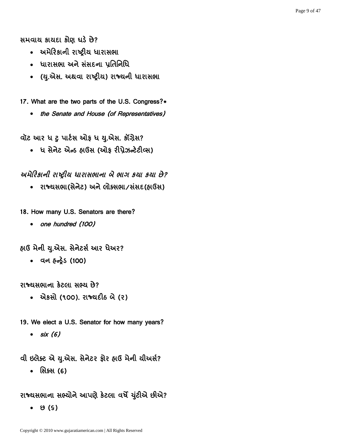સમવાય કાયદા કોણ ઘડે છે?

- અમેરિકાની રાષ્ટ્રીય ધારાસભા
- ધારાસભા અને સંસદના પ્રતિનિધિ
- . (યુ.એસ. અથવા રાષ્ટ્રીય) રાજ્યની ધારાસભા

17. What are the two parts of the U.S. Congress?\*

• the Senate and House (of Representatives)

વૉટ આર ધ ટ પાર્ટસ ઓફ ધ યુ.એસ. કૉંગ્રેસ?

• ધ સેનેટ એન્ડ હ્રાઉસ (ઓક રીપ્રેઝન્ટેટીવ્સ)

અમેરિકાની રાષ્ટ્રીય ધારાસભાના બે ભાગ કયા કયા છે?

• રાજ્યસભા(સેનેટ) અને લોક્સભા/સંસદ(હાઉસ)

18. How many U.S. Senators are there?

• one hundred (100)

હાઉ મેની યુ.એસ. સેનેટર્સ આર ધેઅર?

(100)

રાજ્યસભાના કેટલા સભ્ય છે?

• એકસો (૧૦૦). રાજ્યદીઠ બે (૨)

19. We elect a U.S. Senator for how many years?

 $\cdot$  six (6)

વી ઇલેક્ટ એ યુ.એસ. સેનેટર ફોર હાઉ મેની ચીઅર્સ?

• સિક્સ (6)

રાજ્યસભાના સભ્યોને આપણે કેટલા વર્ષે યુંટીએ છીએ?

 $\bullet$   $\Theta$  (S)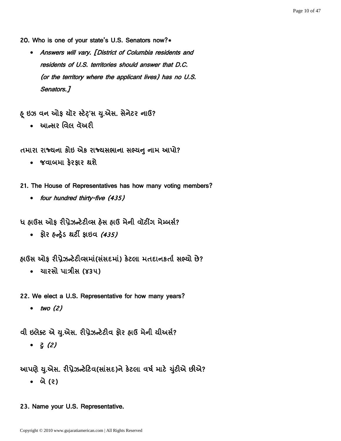- 20. Who is one of your state's U.S. Senators now?\*
	- Answers will vary. [District of Columbia residents and residents of U.S. territories should answer that D.C. (or the territory where the applicant lives) has no U.S. Senators.]

હ્ ઇઝ વન ઓફ યૉર સ્ટેટ'સ યુ.એસ. સેનેટર નાઉ?

• આન્સર વિલ વૅઅરી

તમારા રાજ્યના કોઇ એક રાજ્યસભાના સભ્યનુ નામ આપો?

- જવાબમા ફેરફાર થશે
- 21. The House of Representatives has how many voting members?
	- four hundred thirty-five (435)

ધ હ્રાઉસ ઓક રીપ્રેઝન્ટેટીવ્સ હેસ હ્રાઉ મેની વૉટીંગ મેમ્બર્સ?

• શ્રેર હ્ન્દ્રેડ થર્ટી ફાઇવ *(435)* 

હાઉસ ઓફ રીપ્રેઝન્ટેટીવ્સમાં(સંસદમાં) કેટલા મતદાનકર્તા સભ્યો છે?

• યારસો પાત્રીસ (૪૩૫)

22. We elect a U.S. Representative for how many years?

 $\bullet$  two (2)

વી ઇલેક્ટ એ યુ.એસ. રીપ્રેઝન્ટેટીવ ફોર હાઉ મેની ચીઅર્સ?

 $\bullet$   $\frac{1}{5}$  (2)

આપણે યુ.એસ. રીપ્રેઝન્ટેટિવ(સાંસદ)ને કેટલા વર્ષ માટે યુંટીએ છીએ?

- બે (૨)
- 23. Name your U.S. Representative.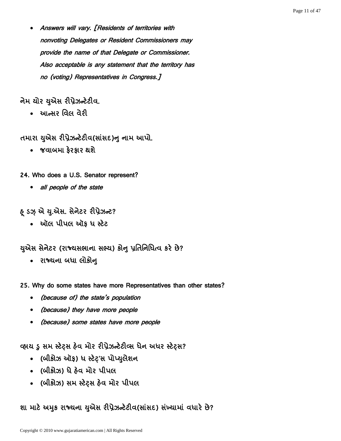Answers will vary. [Residents of territories with nonvoting Delegates or Resident Commissioners may provide the name of that Delegate or Commissioner. Also acceptable is any statement that the territory has no (voting) Representatives in Congress.]

## નેમ યોર યુએસ રીપ્રેઝન્ટેટીવ.

• આન્સર વિલ વેરી

તમારા યુએસ રીપ્રેઝન્ટેટીવ(સાંસદ)નુ નામ આપો.

• જવાબમા કેરકાર થશે

24. Who does a U.S. Senator represent?

• all people of the state

& ડઝ એ યુ.એસ. સેનેટર રીપ્રેઝન્ટ?

• ઑલ પીપલ ઑક ધ સ્ટેટ

યુએસ સેનેટર (રાજ્યસભાના સભ્ય) કોનુ પુતિનિધિત્વ કરે છે?

- રાજ્યના બધા લોકોન્
- 25. Why do some states have more Representatives than other states?
	- (because of) the state's population
	- (because) they have more people
	- (because) some states have more people

વ્હાય ડ સમ સ્ટેટ્સ હેવ મોર રીપ્રેઝન્ટેટીવ્સ ધેન અધર સ્ટેટ્સ?

- (બીકોઝ ઑક) ધ સ્ટેટ'સ પોપ્યુલેશન
- (બીકોઝ) ધે હેવ મોર પીપલ
- (બીકોઝ) સમ સ્ટેટ્સ હેવ મોર પીપલ

શા માટે અમુક રાજ્યના યુએસ રીપ્રેઝન્ટેટીવ(સાંસદ) સંખ્યામાં વધારે છે?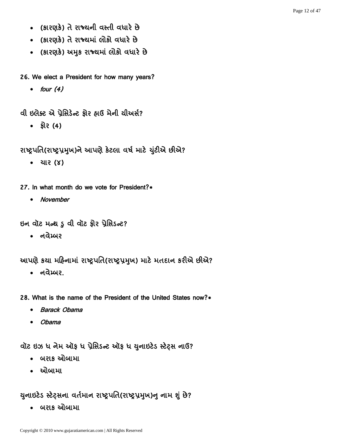- (કારણકે) તે રાજ્યની વસ્તી વધારે છે
- (કારણકે) તે રાજ્યમાં લોકો વધારે છે
- (કારણકે) અમુક રાજ્યમાં લોકો વધારે છે
- 26. We elect a President for how many years?
	- $\bullet$  four  $(4)$

વી ઇલેક્ટ એ પ્રેસિડેન્ટ કોર હાઉ મેની ચીઅર્સ?

- $\bullet$   $\dot{5}$   $\dot{6}$   $(4)$
- રાષ્ટ્રપતિ(રાષ્ટ્રપ્રમુખ)ને આપણે કેટલા વર્ષ માટે યુંટીએ છીએ?
	- यार (४)
- 27. In what month do we vote for President?\*
	- November

ઇન વૉટ મન્થ ડુ વી વૉટ ફોર પ્રેસિડન્ટ?

• નવેમ્બર

આપણે કયા મહિનામાં રાષ્ટ્રપતિ(રાષ્ટ્રપ્રમુખ) માટે મતદાન કરીએ છીએ?

• નવેમ્બર.

28. What is the name of the President of the United States now?\*

- Barack Obama
- Obama

વૉટ ઇઝ ધ નેમ ઑફ ધ પ્રેસિડન્ટ ઑફ ધ યુનાઇટેડ સ્ટેટ્સ નાઉ?

- બરાક ઓબામા
- ઓબામા

### યુનાઇટેડ સ્ટેટ્સના વર્તમાન રાષ્ટ્રપતિ(રાષ્ટ્રપ્રમુખ)નુ નામ શું છે?

• બરાક ઓબામા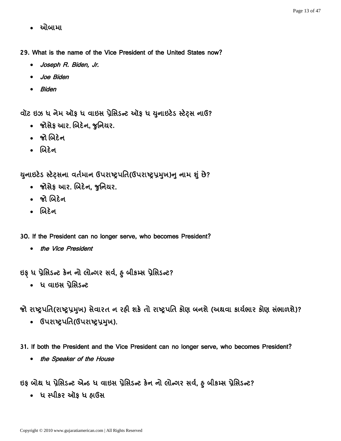• ઓબામા

29. What is the name of the Vice President of the United States now?

- Joseph R. Biden, Jr.
- Joe Biden
- Biden

વૉટ ઇઝ ધ નેમ ઑફ ધ વાઇસ પ્રેસિડન્ટ ઑફ ધ યુનાઇટેડ સ્ટેટ્સ નાઉ?

- . જોસેફ આર. બિદેન, જુનિયર.
- જોબિદેન
- બિદેન

યુનાઇટેડ સ્ટેટ્સના વર્તમાન ઉપરાષ્ટ્રપતિ(ઉપરાષ્ટ્રપ્રમુખ)નુ નામ શું છે?

- . જોસેફ આર. બિદેન, જુનિયર.
- જો બિદેન
- બિદેન
- 30. If the President can no longer serve, who becomes President?
	- the Vice President

ઇફ ધ પ્રેસિડન્ટ કેન નો લોન્ગર સર્વ, હ્ બીકમ્સ પ્રેસિડન્ટ?

•ાધ વાઇસ પ્રેસિડન્ટ

જો રાષ્ટ્રપતિ(રાષ્ટ્રપ્રમૂખ) સેવારત ન રહી શકે તો રાષ્ટ્રપતિ કોણ બનશે (અથવા કાર્યભાર કોણ સંભાળશે)?

- ઉપરાષ્ટ્રપતિ(ઉપરાષ્ટ્રપ્રમુખ).
- 31. If both the President and the Vice President can no longer serve, who becomes President?
	- the Speaker of the House

ઇફ બોથ ધ પ્રેસિડન્ટ એન્ડ ધ વાઇસ પ્રેસિડન્ટ કેન નો લોન્ગર સર્વ, હ્ બીકમ્સ પ્રેસિડન્ટ?

• ધ સ્પીકર ઍાક ધ હ્રાઉસ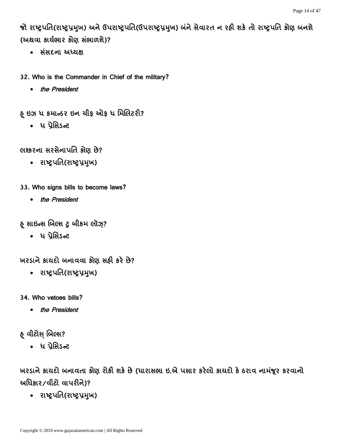જો રાષ્ટ્રપતિ(રાષ્ટ્રપ્રમુખ) અને ઉપરાષ્ટ્રપતિ(ઉપરાષ્ટ્રપ્રમુખ) બંને સેવારત ન રહી શકે તો રાષ્ટ્રપતિ કોણ બનશે (અથવા કાર્યભાર કોણ સંભાળશે)?

- સંસદના અધ્યક્ષ
- 32. Who is the Commander in Chief of the military?
	- the President
- હ્ ઇઝ ધ કમાન્ડર ઇન ચીફ ઓફ ધ મિલિટરી?
	- ધ પ્રેસિડન્ટ
- લશ્કરના સરસેનાપતિ કોણ છે?
	- રાષ્ટ્રપતિ(રાષ્ટ્રપ્રમુખ)
- 33. Who signs bills to become laws?
	- the President
- ફ સાઇન્સ બિલ્સ ટુ બીકમ લૉઝ્?
	- ધ પ્રેસિડન્ટ

ખરડાને કાયદો બનાવવા કોણ સહી કરે છે?

- રાષ્ટ્રપતિ(રાષ્ટ્રપ્રમુખ)
- 34. Who vetoes bills?
	- the President
- હ્ વીટોસ બિલ્સ?
	- ધ પ્રેસિડન્ટ

ખરડાને કાયદો બનાવતા કોણ રોકી શકે છે (ધારાસભા ઇ.એ પસાર કરેલો કાયદો કે ઠરાવ નામંજૂર કરવાનો અધિકાર/વીટો વાપરીને)?

• રાષ્ટ્રપતિ(રાષ્ટ્રપ્રમુખ)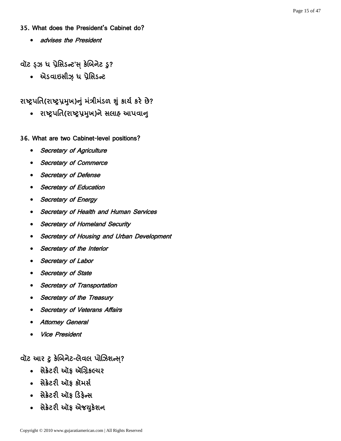#### 35 What does the President's Cabinet do?

• advises the President

વૉટ ડ્ઝ ધ પ્રેસિડન્ટ'સ કેબિનેટ ડુ?

• એડવાઇસીઝ઼ ધ પ્રેસિડન્ટ

# રાષ્ટ્રપતિ(રાષ્ટ્રપ્રમૂખ)નું મંત્રીમંડળ શું કાર્ય કરે છે?

• રાષ્ટ્રપતિ(રાષ્ટ્રપ્રમુખ)ને સલાહ આપવાન્

#### 36. What are two Cabinet-level positions?

- Secretary of Agriculture
- Secretary of Commerce
- Secretary of Defense
- Secretary of Education
- Secretary of Energy
- Secretary of Health and Human Services
- Secretary of Homeland Security
- Secretary of Housing and Urban Development
- Secretary of the Interior
- Secretary of Labor
- Secretary of State
- Secretary of Transportation
- Secretary of the Treasury
- Secretary of Veterans Affairs
- Attorney General
- Vice President

### વૉટ આર ટુ કેબિનેટ-લેવલ પોઝિશન્સ?

- સેક્રેટરી ઑક ઍગ્રિકલ્ચર
- सेडेटरी ओड़ डोमर्स
- સેક્રેટરી ઑક ડિકેન્સ
- સેક્રેટરી ઑફ એજયુકેશન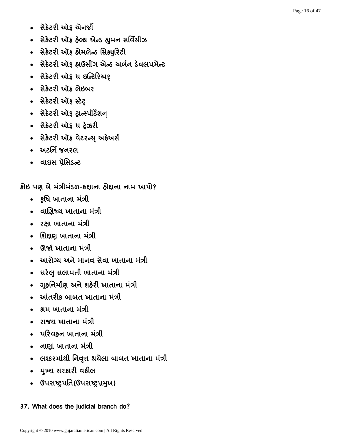- 
- 
- 
- 8.362 ઓફ અંગનથી કરવાના સર્વિસીઝ<br>- 8.362 ઓફ ફીમવીન્દ સિક્યુરિટી<br>- 8.362 ઓફ ફીમવીન્દ સિક્યુરિટી<br>- 8.362 ઓફ ફીમવીન્દ સિક્યુરિટી<br>- 8.362 ઓફ ફીમવીન્દ સિક્યુરિટી<br>- 8.362 ઓફ ફીમવીન્દ સ્ટેક્ટર<br>- 8.362 ઓફ ફોર્ટરન્સ અંગે કરીવ<br>-
	-
	-
	-
	-
	-
	-
	-
	-

કાઇ પણ બ મંત્રામંડળ-કક્ષાના હાદ્દાના નામ આપા?

- કૃષિ ખાતાના મંત્રી
- allese windel iall
- २क्षा ખાતાના મંત્રી
- શિક્ષણ ખાતાના મંત્રી
- ઊર્જા ખાતાના મંત્રી
- આરોગ્ય અને માનવ સેવા ખાતાના મંત્રી
- ઘરેલુ સલામતી ખાતાના મંત્રી
- ગૃહનિર્માણ અને શહેરી ખાતાના મંત્રી
- આંતરીક બાબત ખાતાના મંત્રી
- શ્રમ ખાતાના મંત્રી
- રાજય ખાતાના મંત્રી
- પરિવહન ખાતાના મંત્રી
- नाएां जाताना मंत्री
- લશ્કરમાંથી નિવૃત્ત થયેલા બાબત ખાતાના મંત્રી
- भुખ્ય સરકારી વકીલ
- ઉપરાષ્ટ્રપતિ(ઉપરાષ્ટ્રપ્રમુખ)

### 37. What does the judicial branch do?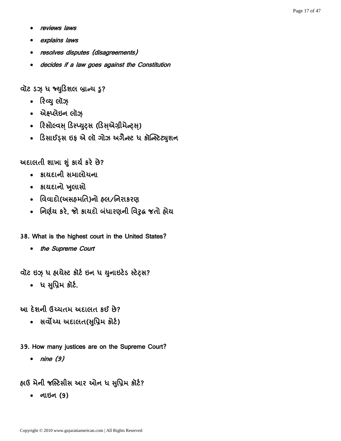- reviews laws
- explains laws
- resolves disputes (disagreements)
- decides if a law goes against the Constitution

વૉટ ડઝ ધ જ્યુડિશલ બ્રાન્ચ ડ?

- રિવ્યુ લૉઝ્
- એક્ષ્પ્લેઇન લૉઝ
- રિસોલ્વસ્ ડિસ્પ્યુટ્સ (ડિસ્એગ્રીમેન્ટ્સ્)
- ડિસાઈડ્સ ઇફ એ લૉ ગોઝ અગૈન્સ્ટ ધ કૉન્સ્ટિટ્યુશન

# અદાલતી શાખા શું કાર્ય કરે છે?

- કાયદાની સમાલોયના
- કાયદાનો ખુલાસો
- વિવાદો(અસહમતિ)નો હલ/નિરાકરણ
- નિર્ણય કરે, જો કાયદો બંધારણની વિરૂદ્ધ જતો હોય
- 38. What is the highest court in the United States?
	- the Supreme Court

વૉટ ઇઝ્ ધ હાચેસ્ટ કૉર્ટ ઇન ધ યુનાઇટેડ સ્ટેટ્સ?

• ધ સુપ્રિમ કૉર્ટ.

આ દેશની ઉચ્ચતમ અદાલત કઈ છે?

- સર્વોચ્ચ અદાલત(સુપ્રિમ કોર્ટ)
- 39. How many justices are on the Supreme Court?
	- nine (9)

હાઉ મેની જસ્ટિસીસ આર ઓન ધ સુપ્રિમ કૉર્ટ?

(9)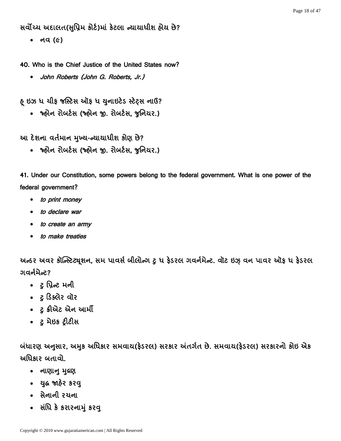સર્વોચ્ચ અદાલત(સુપ્રિમ કોર્ટ)માં કેટલા ન્યાયાધીશ હોય છે?

• નવ (૯)

- 40. Who is the Chief Justice of the United States now?
	- John Roberts (John G. Roberts, Jr.)

હ ઇઝ ધ ચીફ જસ્ટિસ ઑફ ધ યુનાઇટેડ સ્ટેટ્સ નાઉ?

• જ્હ્રોન રોબર્ટસ (જ્હ્રોન જી. રોબર્ટસ, જુનિયર.)

આ દેશના વર્તમાન મુખ્ય-ન્યાયાધીશ કોણ છે?

• જ્ણેન રોબર્ટસ (જ્ણેન જી. રોબર્ટસ, જુનિયર.)

41. Under our Constitution, some powers belong to the federal government. What is one power of the federal government?

- to print money
- to declare war
- to create an army
- to make treaties

અન્ઠર અવર કૉન્સ્ટિટ્યુશન, સમ પાવર્સ બીલોન્ગ ટુ ધ ફેડરલ ગવર્નમેન્ટ. વૉટ ઇઝ વન પાવર ઑફ ધ ફેડરલ ગવર્નમેન્ટ?

- ટ પ્રિન્ટ મની
- ટુ ડિક્લેર વૉર
- टु डीએट એન આર્મી
- *टु* मेछड ट्रीटीस

બંધારણ અનુસાર, અમુક અધિકાર સમવાય(ફેડરલ) સરકાર અંતર્ગત છે. સમવાય(ફેડરલ) સરકારનો કોઇ એક અધિકાર બતાવો.

- नाशानु मुद्रश
- યુદ્ધ જાહેર કરવુ
- સેનાની રચના
- સંધિ કે કરારનામું કરવુ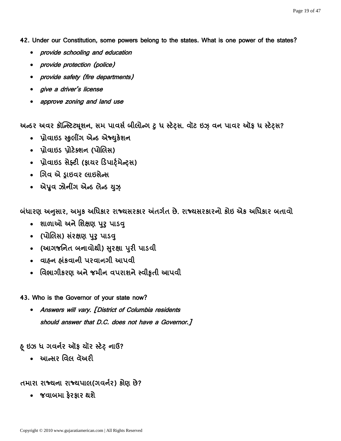42. Under our Constitution, some powers belong to the states. What is one power of the states?

- provide schooling and education
- provide protection (police)
- provide safety (fire departments)
- give a driver's license
- approve zoning and land use

અન્ઠર અવર કૉન્સ્ટિટ્યુશન, સમ પાવર્સ બીલોન્ગ ટુ ધ સ્ટેટ્સ. વૉટ ઇઝ વન પાવર ઑફ ધ સ્ટેટ્સ?

- પ્રોવાઇડ સ્કલીંગ એન્ડ એજ્યુકેશન
- પ્રોવાઇડ પ્રોટેક્શન (પોલિસ)
- પ્રોવાઇડ સેફ્ટી (ફાયર ડિપાર્ટમેન્ટ્સ)
- ગિવ એ ડ્રાઇવર લાઇસેન્સ
- એપૂવ ઝોનીંગ એન્ડ લેન્ડ યુઝ

બંધારણ અનુસાર, અમુક અધિકાર રાજ્યસરકાર અંતર્ગત છે. રાજ્યસરકારનો કોઇ એક અધિકાર બતાવો

- શાળાઓ અને શિક્ષણ પુરૂ પાડવ
- (પોલિસ) સંરક્ષણ પુરૂ પાડવ
- (આગજનિત બનાવોથી) સુરક્ષા પુરી પાડવી
- વાહન હાંકવાની પરવાનગી આપવી
- વિભાગીકરણ અને જમીન વપરાશને સ્વીકૃતી આપવી

43. Who is the Governor of your state now?

 Answers will vary. [District of Columbia residents should answer that D.C. does not have a Governor.]

હ ઇઝ ધ ગવર્નર ઑફ યૉર સ્ટેટ નાઉ?

• આન્સર વિલ વૅઅરી

#### તમારા રાજ્યના રાજ્યપાલ(ગવર્નર) કોણ છે?

• જવાબમા કેરકાર થશે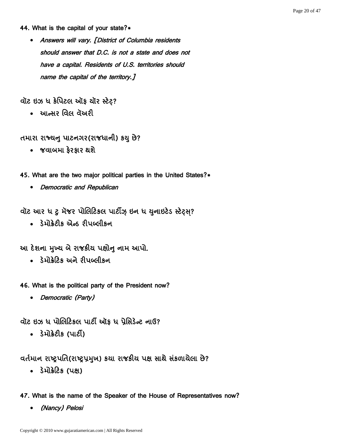#### 44. What is the capital of your state?\*

 Answers will vary. [District of Columbia residents should answer that D.C. is not a state and does not have a capital. Residents of U.S. territories should name the capital of the territory.]

વૉટ ઇઝ ધ કેપિટલ ઑફ યૉર સ્ટેટ?

• આન્સર વિલ વૅઅરી

તમારા રાજ્યનુ પાટનગર(રાજધાની) કયુ છે?

• જવાબમા કેરકાર થશે

45. What are the two major political parties in the United States?\*

• Democratic and Republican

વૉટ આર ધ ટુ મૅજર પોલિટિકલ પાર્ટીઝ્ ઇન ધ યુનાઇટેડ સ્ટેટ્સ્?

• ડેમોક્રેટીક એન્ડ રીપબ્લીકન

આ દેશના મુખ્ય બે રાજકીય પક્ષોન નામ આપો.

• ડેમોક્રેટિક અને રીપબ્લીકન

46. What is the political party of the President now?

• Democratic (Party)

વૉટ ઇઝ ધ પોલિટિકલ પાર્ટી ઑફ ધ પ્રેસિડેન્ટ નાઉ?

• 3 મોક્રેટીક (પાર્ટી)

વર્તમાન રાષ્ટ્રપતિ(રાષ્ટ્રપ્રમુખ) કથા રાજકીય પક્ષ સાથે સંકળાયેલા છે?

• ડેમોક્રેટિક (પક્ષ)

47. What is the name of the Speaker of the House of Representatives now?

(Nancy) Pelosi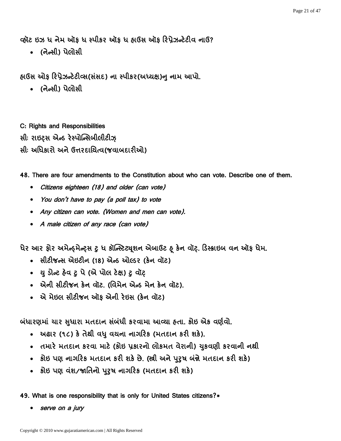વ્હૉટ ઇઝ ધ નેમ ઑક ધ સ્પીકર ઑક ધ હ્રાઉસ ઑક રિપ્રેઝન્ટેટીવ નાઉ?

• (नेन्सी) पेलोसी

હાઉસ ઓફ રિપ્રેઝન્ટેટીવ્સ(સંસદ) ના સ્પીકર(અધ્યક્ષ)ન નામ આપો.

• (નેન્સી) પેલોસી

C: Rights and Responsibilities સીઃ રાઇટસ એન્ડ રેસ્પોન્સિબીલીટીઝ સીઃ અધિકારો અને ઉત્તરદાયિત્વ(જવાબદારીઓ)

48. There are four amendments to the Constitution about who can vote. Describe one of them.

- Citizens eighteen (18) and older (can vote)
- You don't have to pay (a poll tax) to vote
- Any citizen can vote. (Women and men can vote).
- A male citizen of any race (can vote)

ધેર આર ફોર અમેન્ફમેન્ટ્સ ટુ ધ કૉન્સ્ટિટ્યૂશન એબાઉટ ફ કેન વૉટ. ડિસ્ક્રાઇબ વન ઑફ ધેમ.

- સીટીજન્સ એઇટીન (18) એન્ડ ઓલ્ડર (કેન વૉટ)
- યુ ડોન્ટ હેવ ટુ પે (એ પોલ ટેક્ષ) ટુ વૉટ
- એની સીટીજન કેન વૉટ. (વિમેન એન્ડ મેન કેન વૉટ).
- એ મેઇલ સીટીજન ઑક એની રેઇસ (કેન વૉટ)

બંધારણમાં ચાર સુધારા મતદાન સંબંધી કરવામા આવ્યા હતા. કોઇ એક વર્ણવો.

- અઢાર (૧૮) કે તેથી વધુ વચના નાગરિક (મતદાન કરી શકે).
- તમારે મતદાન કરવા માટે (કોઇ પ્રકારનો લોકમત વેરાની) યુકવણી કરવાની નથી
- કોઇ પણ નાગરિક મતદાન કરી શકે છે. (સ્ત્રી અને પુરૂષ બંન્ને મતદાન કરી શકે)
- કોઇ પણ વંશ/જાતિનો પુરૂષ નાગરિક (મતદાન કરી શકે)

49. What is one responsibility that is only for United States citizens?\*

serve on a jury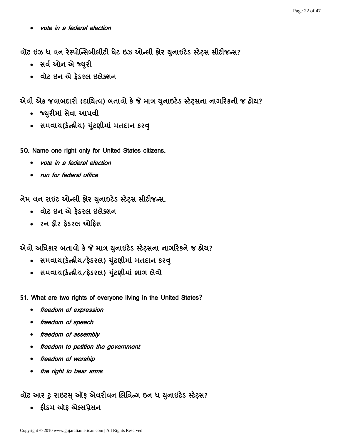vote in a federal election

વૉટ ઇઝ ધ વન રેસ્પોન્સિબીલીટી ધેટ ઇઝ ઓન્લી ફોર યુનાઇટેડ સ્ટેટ્સ સીટીજન્સ?

- સર્વ ઓન એ જ્યરી
- વૉટ ઇન એ કેડરલ ઇલેક્શન

એવી એક જવાબદારી (દાચિત્વ) બતાવો કે જે માત્ર યુનાઇટેડ સ્ટેટ્સના નાગરિકની જ હોય?

- જ્યરીમાં સેવા આપવી
- સમવાય(કેન્ન્રીય) યુંટણીમાં મતદાન કરવ્

50. Name one right only for United States citizens.

- vote in a federal election
- run for federal office

નેમ વન રાઇટ ઓન્લી ફોર યુનાઇટેડ સ્ટેટ્સ સીટીજન્સ.

- વૉટ ઇન એ ફેડરલ ઇલેક્શન
- રન કોર કેડરલ ઓકિસ

એવો અધિકાર બતાવો કે જે માત્ર યુનાઇટેડ સ્ટેટસના નાગરિકને જ હોય?

- સમવાય(કેન્દ્રીય/ફેડરલ) યુંટણીમાં મતદાન કરવુ
- સમવાચ(કેન્દ્રીય/ફેડરલ) યુંટણીમાં ભાગ લેવો

51. What are two rights of everyone living in the United States?

- freedom of expression
- freedom of speech
- freedom of assembly
- freedom to petition the government
- freedom of worship
- the right to bear arms

## વૉટ આર ટુ રાઇટસ ઑફ એવરીવન લિવિન્ગ ઇન ધ યુનાઇટેડ સ્ટેટ્સ?

• ક્રીડમ ઑક એક્સપ્રેસન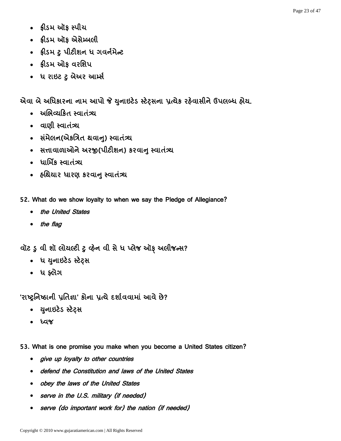- ફ્રીડમ ઑફ સ્પીચ
- ક્રીડમ ઑક એસેમ્બલી
- ક્રીડમ ટુ પીટીશન ધ ગવર્નમેન્ટ
- ફ્રીડમ ઓફ વરશિપ
- ધ રાઇટ ટ બેઅર આર્મ્સ

એવા બે અધિકારના નામ આપો જે યુનાઇટેડ સ્ટેટસના પ્રત્યેક રહેવાસીને ઉપલબ્ધ હોય.

- અભિવ્યકિત સ્વાતંત્ર્ય
- allell <del>randi</del>
- સંમેલન(એકત્રિત થવાનુ) સ્વાતંત્ર્ય
- સત્તાવાળાઓને અરજી(પીટીશન) કરવાનુ સ્વાતંત્ર્ય
- ધાર્મિક સ્વાતંત્ર્ય
- હૃશિયાર ધારણ કરવાનુ સ્વાતંત્ર્ય
- 52. What do we show loyalty to when we say the Pledge of Allegiance?
	- the United States
	- the flag

વૉટ ડુ વી શૉ લોચલ્ટી ટુ વ્હેન વી સે ધ પ્લેજ ઑફ અલીજન્સ?

- ધ યુનાઇટેડ સ્ટેટ્સ
- ધ ફ્લેગ

'રાષ્ટ્રનિષ્ઠાની પ્રતિજ્ઞા' કોના પ્રત્યે દર્શાવવામાં આવે છે?

- યુનાઇટેડ સ્ટેટ્સ
- tar
- 53. What is one promise you make when you become a United States citizen?
	- give up loyalty to other countries
	- defend the Constitution and laws of the United States
	- obey the laws of the United States
	- serve in the U.S. military (if needed)
	- serve (do important work for) the nation (if needed)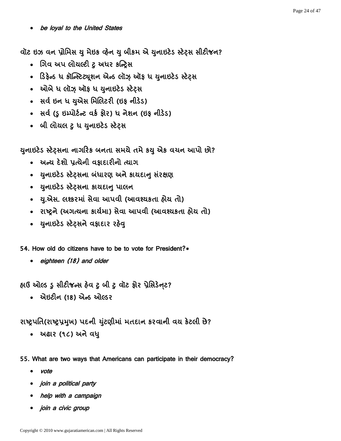be loyal to the United States

વૉટ ઇઝ વન પ્રોમિસ યુ મેઇક વ્હેન યુ બીકમ એ યુનાઇટેડ સ્ટેટ્સ સીટીજન?

- ગિવ અપ લોયલ્ટી ટુ અધર કન્દ્રિસ
- ડિફેન્ડ ધ કૉન્સ્ટિટ્યૂશન એન્ડ લૉઝ ઑફ ધ યુનાઇટેડ સ્ટેટ્સ
- ઓબે ધ લૉઝ ઑફ ધ યુનાઇટેડ સ્ટેટ્સ
- સર્વ ઇન ધ યુએસ મિલિટરી (ઇફ નીડેડ)
- સર્વ (ડુ ઇમ્પોર્ટન્ટ વર્ક ફોર) ધ નેશન (ઇફ નીડેડ)
- બી લોચલ ટુ ધ યુનાઇટેડ સ્ટેટ્સ

યુનાઇટેડ સ્ટેટ્સના નાગરિક બનતા સમચે તમે કયુ એક વચન આપો છો?

- અન્ય દેશો પ્રત્યેની વફાદારીનો ત્યાગ
- યુનાઇટેડ સ્ટેટસના બંધારણ અને કાયદાન સંરક્ષણ
- युनाछटेऽ स्टेट़सना डायद्यानु पालन
- ચ.એસ. લશ્કરમાં સેવા આપવી (આવશ્યકતા હોય તો)
- રાષ્ટ્રને (અગત્યના કાર્યમા) સેવા આપવી (આવશ્યકતા હોય તો)
- યુનાઇટેડ સ્ટેટ્સને વફાદાર રહેવ્

54. How old do citizens have to be to vote for President?\*

• eighteen (18) and older

હાઉ ઓલ્ડ ૬ સીટીજન્સ હેવ ટ બી ટ વૉટ કોર પ્રેસિડેનટ?

• એઇટીન (18) એન્ડ ઓલ્ડર

રાષ્ટ્રપતિ(રાષ્ટ્રપ્રમુખ) પદની યુંટણીમાં મતદાન કરવાની વચ કેટલી છે?

• અઢાર (૧૮) અને વધુ

55. What are two ways that Americans can participate in their democracy?

- vote
- join a political party
- help with a campaign
- *join a civic group*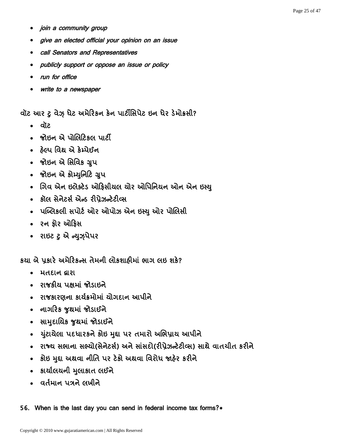- join a community group
- give an elected official your opinion on an issue
- call Senators and Representatives
- publicly support or oppose an issue or policy
- run for office
- write to a newspaper

વૉટ આર ટુ વેઝ઼ ધેટ અમેરિકન કેન પાર્ટીસિપેટ ઇન ધેર ડેમોક્રસી?

- . वॉट
- જોઇન એ પોલિટિકલ પાર્ટી
- હેલ્પ વિથ એ કેમ્પેઈન
- જોઇન એ સિવિક ગ્રુપ
- જોઇન એ કોમ્યુનિટિ ગ્રુપ
- ગિવ એન ઇલેક્ટેડ ઓફિસીચલ ચોર ઓપિનિચન ઓન એન ઇસ્યુ
- કૉલ સેનેટર્સ એન્ડ રીપ્રેઝન્ટેટીવ્સ
- પબ્લિકલી સપોર્ટ ઓર ઓપોઝ એન ઇસ્યુ ઓર પોલિસી
- રન કોર ઓકિસ
- राछट ट से न्यू**ग्रेपेपर**

કયા બે પૂકારે અમેરિકન્સ તેમની લોકશાહીમાં ભાગ લઇ શકે?

- भतहान द्वारा
- રાજકીય પક્ષમાં જોડાઇને
- રાજકારણના કાર્યક્રમોમાં ચોગદાન આપીને
- નાગરિક જુથમાં જોડાઈને
- સામુદાયિક જુથમાં જોડાઈને
- યુંટાચેલા પદધારકને કોઇ મુદ્દા પર તમારો અભિપ્રાય આપીને
- રાજ્ય સભાના સભ્યો(સેનેટર્સ) અને સાંસદો(રીપ્રેઝન્ટેટીવ્સ) સાથે વાતચીત કરીને
- કોઇ મુદ્દા અથવા નીતિ પર ટેકો અથવા વિરોધ જાહેર કરીને
- કાર્યાલયની મલાકાત લઈને
- વર્તમાન પત્રને લખીને

56. When is the last day you can send in federal income tax forms?\*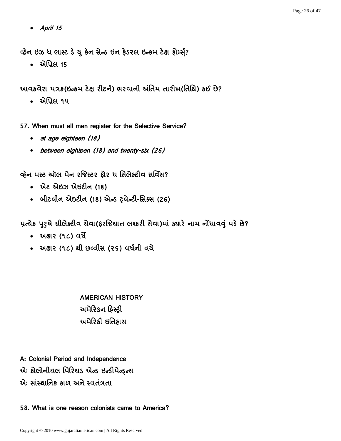April 15

વ્હેન ઇઝ ધ લાસ્ટ ડે યુ કેન સેન્ડ ઇન ફેડરલ ઇન્કમ ટેક્ષ ફોર્મ્સ?

• એપ્રિલ 15

આવકવેરા પત્રક(ઇન્કમ ટેક્ષ રીટર્ન) ભરવાની અંતિમ તારીખ(તિથિ) કઈ છે?

• એપ્રિલ ૧૫

57. When must all men register for the Selective Service?

- at age eighteen (18)
- between eighteen (18) and twenty-six (26)

વ્હેન મસ્ટ ઑલ મેન રજિસ્ટર ફોર ધ સિલેક્ટીવ સર્વિસ?

- એટ એઇઝ એઇટીન (18)
- બીટવીન એઇટીન (18) એન્ડ ટ્વેન્ટી-સિક્સ (26)

પ્રત્યેક પુરૂષે સીલેક્ટીવ સેવા(ફરજિયાત લશ્કરી સેવા)માં ક્યારે નામ નોંધાવવું પડે છે?

- **મહાર** (૧૮) વર્ષે
- અઢાર (૧૮) થી છવ્વીસ (૨૬) વર્ષની વચે

AMERICAN HISTORY અમેરિકન હિસ્ટ્રી અમેરિકી ઇતિહ્રાસ

- A: Colonial Period and Independence
- એઃ કોલોનીયલ પિરિયડ એન્ડ ઇન્ડીપેન્ફન્સ
- એઃ સાંસ્થાનિક કાળ અને સ્વતંત્રતા

58. What is one reason colonists came to America?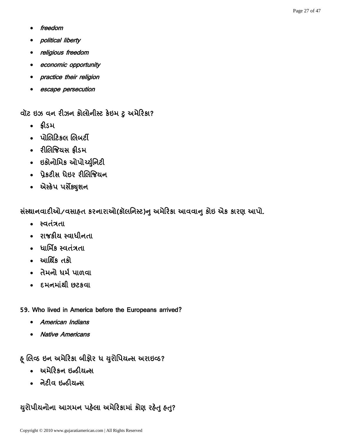- freedom
- political liberty
- religious freedom
- economic opportunity
- practice their religion
- escape persecution

વૉટ ઇઝ વન રીઝન કોલોનીસ્ટ કેઇમ ટુ અમેરિકા?

- ક્રીડમ
- પોલિટિકલ લિબર્ટી
- રીલિજિયસ ક્રીડમ
- ઇકોનોમિક ઓપોર્ચ્યુનિટી
- પ્રેકટીસ ધેઇર રીલિજિયન
- એસ્કેપ પર્સેક્યુશન

સંસ્થાનવાદીઓ/વસાહત કરનારાઓ(કૉલનિસ્ટ)નુ અમેરિકા આવવાનુ કોઇ એક કારણ આપો.

- સ્વતંત્રતા
- રાજકીય સ્વાધીનતા
- ધાર્મિક સ્વતંત્રતા
- આર્થિક તકો
- તેમનો ધર્મ પાળવા
- દમનમાંથી છટકવા
- 59. Who lived in America before the Europeans arrived?
	- American Indians
	- Native Americans

ફ્ લિવ્ઠ ઇન અમેરિકા બીફોર ધ યુરોપિયન્સ અરાઇવ્ઠ?

- અમેરિકન ઇન્ડીયન્સ
- નેટીવ ઇન્ડીયન્સ

## યુરોપીયનોના આગમન પહેલા અમેરિકામાં કોણ રહેતુ હતુ?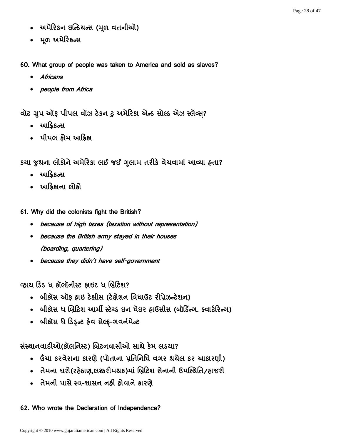- અમેરિકન ઇન્ડિયન્સ (મૂળ વતનીઓ)
- મૂળ અમેરિકન્સ

60. What group of people was taken to America and sold as slaves?

- Africans
- people from Africa

વૉટ ગ્રુપ ઑફ પીપલ વૉઝ ટેકન ટુ અમેરિકા એન્ડ સોલ્ડ એઝ સ્લેવ્સ?

- આફ્રિકન્સ
- પીપલ ક્રોમ આફ્રિકા

કયા જુથના લોકોને અમેરિકા લઈ જઈ ગુલામ તરીકે વેચવામાં આવ્યા હતા?

- આફ્રિકન્સ
- આક્રિકાના લોકો

61. Why did the colonists fight the British?

- because of high taxes (taxation without representation)
- because the British army stayed in their houses (boarding, quartering)
- because they didn't have self-government

વ્હાય ડિડ ધ કૉલૉનીસ્ટ ક્રાઇટ ધ બ્રિટિશ?

- બીકૉસ ઑક હ્રાઇ ટેક્ષીસ (ટેક્ષેશન વિધાઉટ રીપ્રેઝન્ટેશન)
- બીકૉસ ધ બ્રિટિશ આર્મી સ્ટેચ્ડ ઇન ધેઇર હ્રાઉસીસ (બૉર્ડિન્ગ. ક્વાર્ટરિન્ગ)
- બીકૉસ ધે ડિડ્ન્ટ હેવ સેલ્ફ-ગવર્નમેન્ટ

સંસ્થાનવાદીઓ(કૉલનિસ્ટ) બ્રિટનવાસીઓ સાથે કેમ લડચા?

- ઉંચા કરવેરાના કારણે (પોતાના પ્રતિનિધિ વગર થયેલ કર આકારણી)
- તેમના ઘરો(રહેઠાણ.લશ્કરીમથક)માં બ્રિટિશ સેનાની ઉપસ્થિતિ/હાજરી
- તેમની પાસે સ્વ-શાસન નહી હોવાને કારણે

62. Who wrote the Declaration of Independence?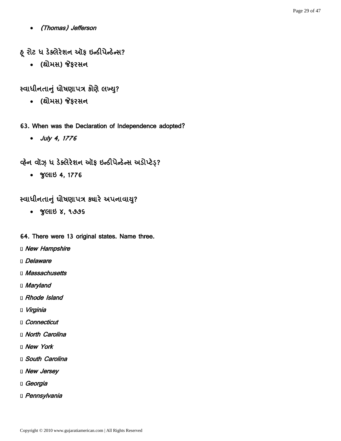(Thomas) Jefferson

# ફ્ રોટ ધ ડેક્લેરેશન ઑફ ઇન્ડીપેન્ડેન્સ?

• (થોમસ) જેફરસન

# ધ ?

- (થોમસ) જેફરસન
- 63. When was the Declaration of Independence adopted?
	- July 4, 1776

## વ્હેન વૉઝ઼ ધ ડેક્લેરેશન ઑફ ઇન્ડીપેન્ડેન્સ અડોપ્ટેડ઼?

• GCILES 4, 1776

### स्वाधीनतानुं धोषणापत्र क्ष्यारे अपनावायु?

૪ ૧૭૭૬

#### 64. There were 13 original states. Name three.

- D New Hampshire
- Delaware
- n Massachusetts
- □ Maryland
- D Rhode Island
- □ *Virginia*
- Connecticut
- **I** North Carolina
- D New York
- **D** South Carolina
- D New Jersey
- Georgia
- D Pennsylvania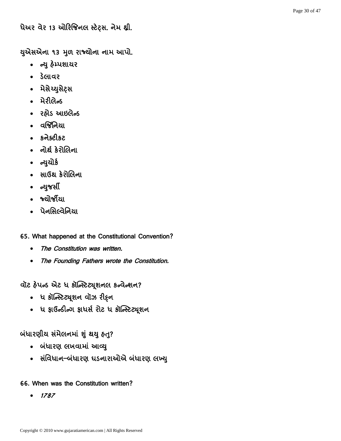66. When was the Constitution written?

 $• 1787$ 

• ધ ફાઉન્ડીન્ગ ફાધર્સ રોટ ધ કૉન્સ્ટિટ્યૂશન

• સંવિધાન–બંધારણ ઘડનારાઓએ બંધારણ લખ્યુ

65. What happened at the Constitutional Convention?

વૉટ ફેપન્ડ એટ ધ કૉન્સ્ટિટ્યૂશનલ કન્વેન્શન?

- 
- 
- 
- 
- ધ કૉન્સ્ટિટ્યૂશન વૉઝ રીઠ્ન
- 
- 
- 
- 
- 
- 
- 
- 

The Constitution was written.

- 
- 
- 
- 
- 

બંધારણીય સંમેલનમાં શું થયુ હતુ?

• બંધારણ લખવામાં આવ્યુ

- 
- The Founding Fathers wrote the Constitution.
- ન્યુયોર્ક • સાઉથ કેરોલિના
- 
- નોર્થ કેરોલિના
- 

• ન્યુજર્સી

• જ્ચોર્જીયા

• પેનસિલ્વેનિયા

- 
- 
- 
- 
- 
- 
- કનેક્ટીકટ
- वर्श्विनिया
- 
- મેરીલેન્ડ

• ડેલાવર

- 
- 
- 
- 
- રહ્યેડ આઇલેન્ડ
- 
- 

ધેઅર વેર 13 ઓરિજિનલ સ્ટેટ્સ. નેમ થ્રી.

યુએસએના ૧૩ મુળ રાજ્યોના નામ આપો.

- 
- 

• ન્યુ હેમ્પશાયર

• મેસેચ્યુસેટ્સ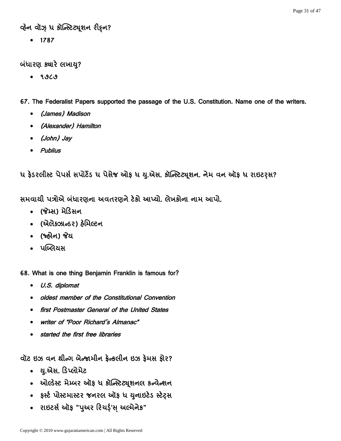### વ્હેન વૉઝ઼ ધ કૉન્સ્ટિટ્યૂશન રીફન?

 $• 1787$ 

#### બંધારણ ક્યારે લખાય?

૧૭૮૭

#### 67. The Federalist Papers supported the passage of the U.S. Constitution. Name one of the writers.

- (James) Madison
- (Alexander) Hamilton
- (John) Jay
- Publius

ધ ફેડરલીસ્ટ પેપર્સ સપોર્ટેડ ધ પેસેજ ઓફ ધ યુ.એસ. કૉન્સ્ટિટ્યૂશન. નેમ વન ઑફ ધ રાઇટરૃસ?

સમવાથી પત્રોએ બંધારણના અવતરણને ટેકો આપ્યો. લેખકોના નામ આપો.

- (જેમ્સ) મેડિસન
- (એલેક્ઝાન્ડર) હેમિલ્ટન
- (જ્હ્રીન) જેય
- પબ્લિયસ
- 68. What is one thing Benjamin Franklin is famous for?
	- U.S. diplomat
	- oldest member of the Constitutional Convention
	- first Postmaster General of the United States
	- writer of "Poor Richard's Almanac"
	- started the first free libraries

વૉટ ઇઝ વન થીન્ગ બેન્જામીન કેન્કલીન ઇઝ કેમસ કોર?

- . યુ.એસ. ડિપ્લોમેટ
- ઓલ્ડેસ્ટ મેમ્બર ઑફ ધ કૉન્સ્ટિટ્યુશનલ કન્વેન્શન
- ફર્સ્ટ પોસ્ટમાસ્ટર જનરલ ઑફ ધ યુનાઇટેડ સ્ટેટ્સ
- રાઇટર્સ ઑફ "પુઅર રિચર્ડ્'સ્ અલ્મેનેક"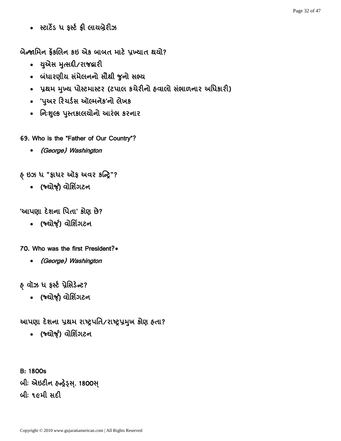• સ્ટાર્ટેડ ધ ફર્સ્ટ ફ્રી લાયબ્રેરીઝ

બેન્જામિન કેંકલિન કઇ એક બાબત માટે પ્રખ્યાત થયો?

- युग्पेस मुत्सद्दी/राश्द्धारी
- બંધારણીય સંમેલનનો સૌથી જુનો સભ્ય
- પ્રથમ મુખ્ય પોસ્ટમાસ્ટર (ટપાલ કચેરીનો હવાલો સંભાળનાર અધિકારી)
- 'પુઅર રિચર્ડસ ઑલ્મનૅક'નો લેખક
- નિઃશુલ્ક પુસ્તકાલચોનો આરંભ કરનાર

69. Who is the "Father of Our Country"?

(George) Washington

હ ઇઝ ધ "ફાધર ઑફ અવર કન્ટ્રિ"?

• (જ્યોર્જ્) વોશિંગટન

'આપણા દેશના પિતા' કોણ છે?

• (જ્યોર્જ) વોશિંગટન

70. Who was the first President?\*

(George) Washington

હ વૉઝ ધ ફર્સ્ટ પ્રેસિડેન્ટ?

• (જ્યોર્જ્) વોશિંગટન

આપણા દેશના પ્રથમ રાષ્ટ્રપતિ/રાષ્ટ્રપ્રમુખ કોણ હતા?

• (જ્યોર્જ) વોશિંગટન

B: 1800s બીઃ એઇટીન હન્ફ્રેડ્સ્. 1800સ્ બી: ૧૯મી સદી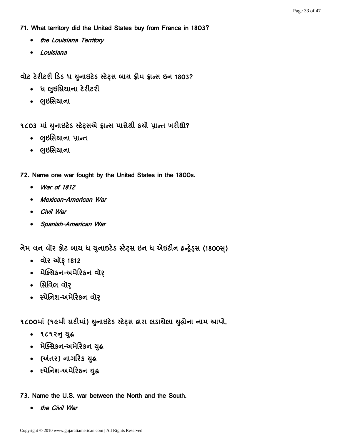71. What territory did the United States buy from France in 1803?

- the Louisiana Territory
- Louisiana

વૉટ ટેરીટરી ડિડ ધ યુનાઇટેડ સ્ટેટ્સ બાય ફ્રીમ ફ્રાન્સ ઇન 1803?

- ધ લુઇસિયાના ટેરીટરી
- લુઇસિયાના

૧૮૦૩ માં યુનાઇટેડ સ્ટેટ્સએ ફ્રાન્સ પાસેથી કર્યો પ્રાન્ત ખરીદ્યો?

- લુઇસિયાના પ્રાન્ત
- લુઇસિયાના

72. Name one war fought by the United States in the 1800s.

- War of 1812
- Mexican-American War
- Civil War
- Spanish-American War

નેમ વન વૉર ફોટ બાય ધ યુનાઇટેડ સ્ટેટ્સ ઇન ધ એઇટીન હન્ફેડ્સ (1800સ)

- वॉर ऑइ 1812
- મેક્સિકન-અમેરિકન વૉર
- સિવિલ વૉર
- स्पेनिश-अमेरिडन वॉर

૧૮૦૦માં (૧૯મી સદીમાં) યુનાઇટેડ સ્ટેટ્સ દ્વારા લડાયેલા યુદ્ધોના નામ આપો.

- ૧૮૧૨નુ યુદ્ધ
- મેક્સિકન-અમેરિકન યુદ્ધ
- (અંતર) નાગરિક યુદ્ધ
- સ્પેનિશ-અમેરિકન યુદ્ધ

73. Name the U.S. war between the North and the South.

• the Civil War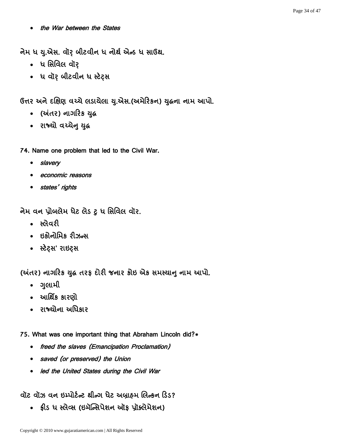the War between the States

નેમ ધ યુ.એસ. વૉર બીટવીન ધ નોર્થ એન્ડ ધ સાઉથ.

- ધ સિવિલ વૉર
- ધ વૉર બીટવીન ધ સ્ટેટ્સ

ઉત્તર અને દક્ષિણ વચ્ચે લડાયેલા યુ.એસ.(અમેરિકન) યુદ્ધના નામ આપો.

- (અંતર) નાગરિક યુદ્ધ
- राश्यो वय्येन युद्ध

74. Name one problem that led to the Civil War.

- slavery
- **economic reasons**
- states' rights

નેમ વન પ્રોબલેમ ધેટ લેડ ટુ ધ સિવિલ વૉર.

- સ્લેવરી
- ઇકોનોમિક રીઝન્સ
- સ્ટેટ્સ' રાઇટ્સ

(અંતર) નાગરિક યુદ્ધ તરફ દોરી જનાર કોઇ એક સમસ્યાનુ નામ આપો.

- ગલામી
- આર્થિક કારણો
- રાજ્યોના અધિકાર

75. What was one important thing that Abraham Lincoln did?\*

- freed the slaves (Emancipation Proclamation)
- saved (or preserved) the Union
- led the United States during the Civil War

વૉટ વૉઝ વન ઇમ્પોર્ટન્ટ થીન્ગ ધેટ અબ્રાહમ લિન્કન ડિડ?

• ફ્રીડ ધ સ્લેવ્સ (ઇમૅન્સિપેશન ઑફ પ્રૉક્લેમેશન)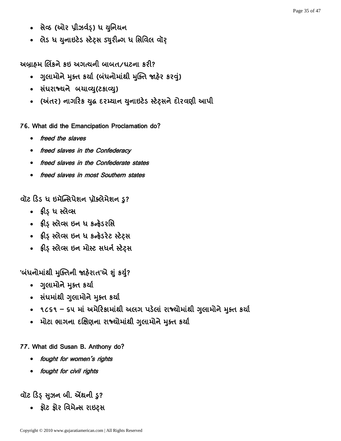- સેવ્ઠ (ઓર પ્રીઝર્વડ઼) ધ યુનિયન
- લેડ ધ યુનાઇટેડ સ્ટેટ્સ ડ્યુરીન્ગ ધ સિવિલ વૉર્

અબ્રાહ્મ લિંકને કઇ અગત્યની બાબત/ધટના કરી?

- ગુલામોને મુક્ત કર્યા (બંધનોમાંથી મુક્તિ જાહેર કરવું)
- સંધરાજ્યને બચાવ્યુ(ટકાવ્યુ)
- (અંતર) નાગરિક યુદ્ધ દરમ્યાન યુનાઇટેડ સ્ટેટસને દોરવણી આપી

76. What did the Emancipation Proclamation do?

- freed the slaves
- freed slaves in the Confederacy
- freed slaves in the Confederate states
- freed slaves in most Southern states

વૉટ ડિડ ધ ઇમૅન્સિપેશન પ્રૉક્લેમેશન ડ?

- ક્રીડ ધ સ્લેવ્સ
- ફ્રીડ઼ સ્લેવ્સ ઇન ધ કન્ફેડરસિ
- ફ્રીડ સ્લેવ્સ ઇન ધ કન્ફેડરેટ સ્ટેટ્સ
- ફ્રીડ સ્લેવ્સ ઇન મોસ્ટ સધર્ન સ્ટેટસ

'બંધનોમાંથી મુક્તિની જાહેરાત'એ શું કર્યુ?

- ગુલામોને મુક્ત કર્યા
- સંઘમાંથી ગુલામોને મુક્ત કર્યા
- ૧૮૬૧ ૬૫ માં અમેરિકામાંથી અલગ પડેલાં રાજ્યોમાંથી ગુલામોને મુક્ત કર્યા
- મોટા ભાગના દક્ષિણના રાજ્યોમાંથી ગુલામોને મુક્ત કર્યા

#### 77. What did Susan B. Anthony do?

- fought for women's rights
- fought for civil rights

# વૉટ ડિડ સુઝન બી. એંથની ડુ?

• શ્નેટ શ્નેર વિમેન્સ રાઇટ્સ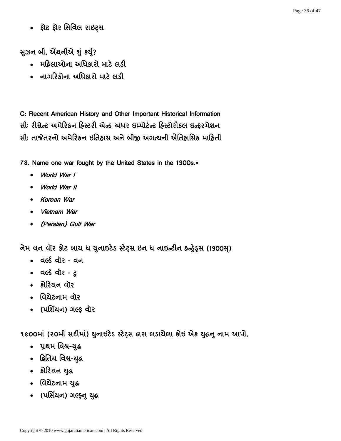• શ્રેટ શ્રેર સિવિલ રાઇટ્સ

સુઝન બી. એંથનીએ શું કર્યું?

- મહિલાઓના અધિકારો માટે લડી
- નાગરિકોના અધિકારો માટે લડી

C: Recent American History and Other Important Historical Information સીઃ રીસેન્ટ અમેરિકન હિસ્ટરી એન્ડ અધર ઇમ્પોર્ટન્ટ હિસ્ટોરીકલ ઇન્ફરમેશન સીઃ તાજેતરનો અમેરિકન ઇતિહાસ અને બીજી અગત્યની ઐતિહાસિક માહિતી

78. Name one war fought by the United States in the 1900s.\*

- World War I
- World War II
- Korean War
- Vietnam War
- (Persian) Gulf War

નેમ વન વૉર ફોટ બાય ધ યુનાઇટેડ સ્ટેટ્સ ઇન ધ નાઇન્ટીન હન્ફેડ્સ (1900સ)

- acs alle ad
- acs all ?- 2
- કોરિચન વૉર
- વિચેટનામ વૉર
- (पर्शियन) गर्ल्ड वोर

૧૯૦૦માં (૨૦મી સદીમાં) યુનાઇટેડ સ્ટેટ્સ દ્વારા લડાયેલા કોઇ એક યુદ્ધનુ નામ આપો.

- પ્રથમ વિશ્વ-યુદ્ધ
- દ્વિતિય વિશ્વ-યુદ્ધ
- કોરિયન યુદ્ધ
- વિચેટનામ યુદ્ધ
- (पर्सियन) ગલ્ફ્નુ યુદ્ધ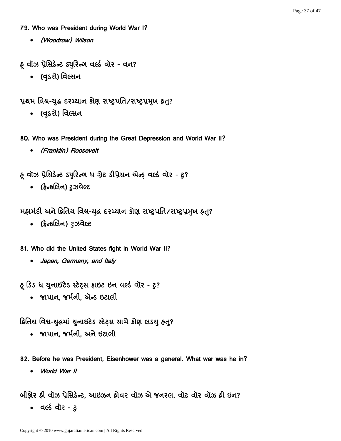#### 79. Who was President during World War I?

(Woodrow) Wilson

હ વૉઝ પ્રેસિડેન્ટ ડ્યુરિન્ગ વર્લ્ડ વૉર - વન?

**)**

પ્રથમ વિશ્વ-યુદ્ધ દરમ્યાન કોણ રાષ્ટ્રપતિ/રાષ્ટ્રપ્રમુખ હત?

• (વુડરો) વિલ્સન

80. Who was President during the Great Depression and World War II?

(Franklin) Roosevelt

હ વૉઝ પ્રેસિડેન્ટ ડ્યુરિન્ગ ધ ગ્રેટ ડીપ્રેસન એન્ફ વર્લ્ડ વૉર - ટ્ર?

• (ફ્રેન્કલિન) રૂઝવેલ્ટ

મહામંદી અને દ્વિતિય વિશ્વ-યુદ્ધ દરમ્યાન કોણ રાષ્ટ્રપતિ/રાષ્ટ્રપ્રમુખ હત?

• (ફ્રેન્કલિન) રૂઝવેલ્ટ

81. Who did the United States fight in World War II?

• Japan, Germany, and Italy

ફ ડિડ ધ યુનાઈટેડ સ્ટેટ્સ ફાઇટ ઇન વર્લ્ડ વૉર - ટુ?

• જાપાન. જર્મની. ઍન્ડ ઇટાલી

દ્વિતિય વિશ્વ-યુદ્ધમાં યુનાઇટેડ સ્ટેટ્સ સામે કોણ લડયુ હતુ?

- જાપાન. જર્મની. અને ઇટાલી
- 82. Before he was President, Eisenhower was a general. What war was he in?
	- World War II

બીકોર હી વૉઝ પ્રેસિડેન્ટ, આઇઝન હોવર વૉઝ એ જનરલ. વૉટ વૉર વૉઝ હી ઇન?

• acs all ?- 2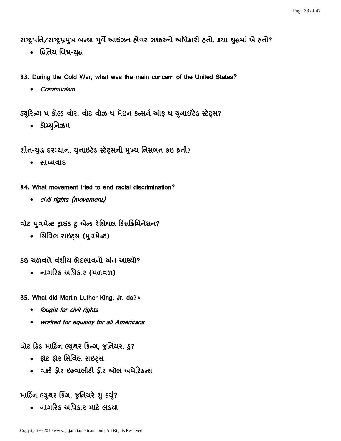રાષ્ટ્રપતિ/રાષ્ટ્રપ્રમુખ બન્યા પુર્વે આઇઝન હોવર લશ્કરનો અધિકારી હતો. કયા યુદ્ધમાં એ હતો?

- દ્વિતિય વિશ્વ-યુદ્ધ
- 83. During the Cold War, what was the main concern of the United States?
	- Communism

ડ્યુરિન્ગ ધ કોલ્ડ વૉર, વૉટ વૉઝ ધ મેઇન કન્સર્ન ઑફ ધ યુનાઈટેડ સ્ટેટ્સ?

• કોમ્યુનિઝમ

શીત-યુદ્ધ દરમ્યાન, યુનાઇટેડ સ્ટેટ્સની મુખ્ય નિસબત કઇ હતી?

• साभ्यवाद

84. What movement tried to end racial discrimination?

civil rights (movement)

વૉટ મુવમેન્ટ ટ્રાઇડ ટુ એન્ડ રેસિયલ ડિસક્રિમિનેશન?

• સિવિલ રાઇટ્સ (મુવમેન્ટ)

કઇ યળવળે વંશીય ભેદભાવનો અંત આણ્યો?

• નાગરિક અધિકાર (ચળવળ)

85. What did Martin Luther King, Jr. do?\*

- fought for civil rights
- worked for equality for all Americans

વૉટ ડિડ માર્ટિન લ્યુથર કિન્ગ, જુનિયર. ડુ?

- શ્રેટ શ્રેર સિવિલ રાઇટ્સ
- ass क्षेर छड़वालीटी क्षेर ऑल अमेरिडन्स

# માર્ટિન લ્યુથર કિંગ, જુનિયરે શું કર્યુ?

• નાગરિક અધિકાર માટે લડચા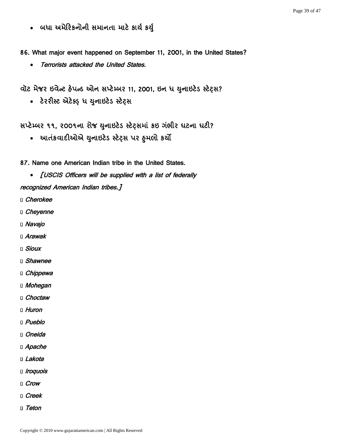• બધા અમેરિકનોની સમાનતા માટે કાર્ય કર્યુ

86. What major event happened on September 11, 2001, in the United States?

Terrorists attacked the United States.

વૉટ મેજર ઇવેન્ટ હેપન્ડ ઓન સપ્ટેમ્બર 11, 2001, ઇન ધ યુનાઇટેડ સ્ટેટ્સ?

• ટેરરીસ્ટ એટેક્ડ ધ યુનાઇટેડ સ્ટેટ્સ

સપ્ટેમ્બર ૧૧, ૨૦૦૧ના રોજ યુનાઇટેડ સ્ટેટ્સમાં કઇ ગંભીર ઘટના ઘટી?

- આતંકવાદીઓએ યુનાઇટેડ સ્ટેટ્સ પર હુમલો કર્યો
- 87. Name one American Indian tribe in the United States.
- [USCIS Officers will be supplied with a list of federally recognized American Indian tribes.]
- Cherokee
- Cheyenne
- Navajo
- Arawak
- Sioux
- Shawnee
- Chippewa
- □ Mohegan
- Choctaw
- Huron
- Pueblo
- □ Oneida
- □ Apache
- □ *Lakota*
- Iroquois
- Crow
- Creek
- D Teton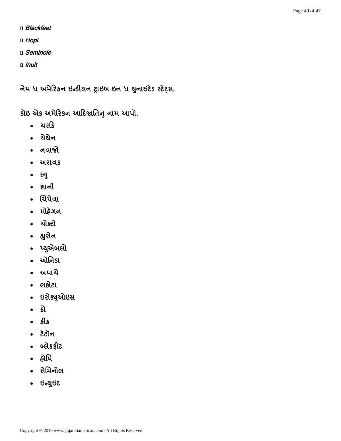- D **Blackfeet**
- D Hopi
- Seminole
- Inuit

નેમ ધ અમેરિકન ઇન્ડીયન ટ્રાઇબ ઇન ધ યુનાઇટેડ સ્ટેટ્સ.

કોઇ એક અમેરિકન આદિજાતિનુ નામ આપો.

- ચરકિ
- ચેચેન
- નવાજો
- અરાવક
- स्यु
- શાની
- यिपेवा
- મોહેગન
- ચોક્ટો
- હ્યુરોન
- પ્યુએબલો
- ઓનિડા
- અપાચે
- લકોટા
- ઇરોક્યુઓઇસ
- 
- $\bullet$   $\Omega$ s
- टेटोंन
- બ્લેકફીટ
- $\bullet$  and
- સેમિનોલ
- ઇન્યુઇટ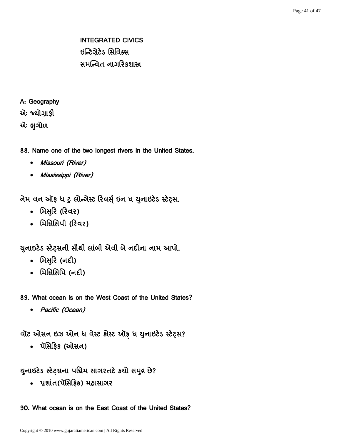INTEGRATED CIVICS ઇન્ટિગ્રેટેડ સિવિક્સ સમન્વિત નાગરિકશાસ્ત્ર

A: Geography

એઃ જ્ચોગ્રાકી

એઃ ભુગોળ

88. Name one of the two longest rivers in the United States.

- Missouri (River)
- Mississippi (River)

નેમ વન ઑફ ધ ટુ લોન્ગેસ્ટ રિવર્સ ઇન ધ યુનાઇટેડ સ્ટેટ્સ.

- મિસુરિ (રિવર)
- મિસિસિપી (રિવર)

યુનાઇટેડ સ્ટેટ્સની સૌથી લાંબી એવી બે નદીના નામ આપો.

- મિસુરિ (નદી)
- મિસિસિપિ (**નદી**)

89. What ocean is on the West Coast of the United States?

• Pacific (Ocean)

વૉટ ઓસન ઇઝ ઓન ધ વેસ્ટ કોસ્ટ ઑફ ધ યુનાઇટેડ સ્ટેટ્સ?

• પૅસિફિક (ઓસન)

યુનાઇટેડ સ્ટેટ્સના પશ્ચિમ સાગરતટે કચો સમુદ્ર છે?

• પ્રશાંત(પૅસિફિક) મહાસાગર

90. What ocean is on the East Coast of the United States?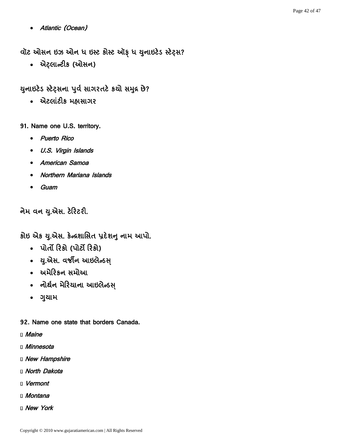Atlantic (Ocean)

વૉટ ઓસન ઇઝ ઓન ધ ઇસ્ટ કોસ્ટ ઑફ ધ યુનાઇટેડ સ્ટેટ્સ?

• એટ્લાન્ટીક (ઓસન)

### યુનાઇટેડ સ્ટેટ્સના પુર્વ સાગરતટે કચો સમુદ્ર છે?

- એટલાંટીક મહાસાગર
- 91. Name one U.S. territory.
	- Puerto Rico
	- U.S. Virgin Islands
	- American Samoa
	- Northern Mariana Islands
	- Guam

નેમ વન યુ.એસ. ટેરિટરી.

કોઇ એક યુ.એસ. કેન્દ્રશાસિત પ્રદેશનુ નામ આપો.

- पोर्तो रिश्रे (पोर्टो रिश्रे)
- . યુ.એસ. વર્જીન આઇલેન્ડસ્
- અમેરિકન સમોઆ
- નોર્થન મેરિયાના આઇલેન્ડસ્
- ગુયામ

92. Name one state that borders Canada.

- **D** Maine
- □ Minnesota
- D New Hampshire
- **I** North Dakota
- Vermont
- □ Montana
- D New York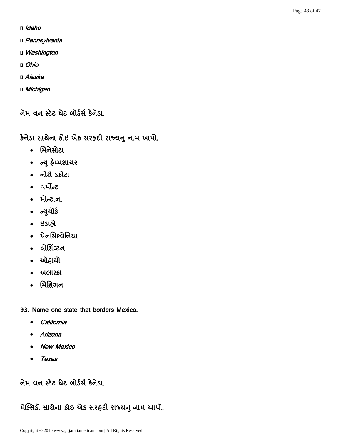- Idaho
- D Pennsylvania
- **U** Washington
- Ohio
- □ Alaska
- □ Michigan

નેમ વન સ્ટેટ ધેટ બોર્ડર્સ કેનેડા.

કેનેડા સાથેના કોઇ એક સરહદી રાજ્યનુ નામ આપો.

- મિનેસોટા
- ન્યુ હેમ્પશાયર
- નોર્થ ડકોટા
- वर्मोन्ट
- મોન્ટાના
- ન્યુચોર્ક
- ઇડાહ્યે
- पेनसिल्वेनिया
- વોશિંગ્ટન
- ઓહ્રાચો
- અલાસ્કા
- મિશિગન
- 93. Name one state that borders Mexico.
	- California
	- Arizona
	- New Mexico
	- Texas

નેમ વન સ્ટેટ ધેટ બોર્ડર્સ કેનેડા.

# મેક્સિકો સાથેના કોઇ એક સરહદી રાજ્યનુ નામ આપો.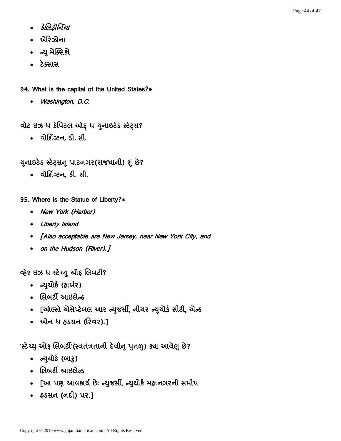- કેલિક્રોર્નિયા
- એરિઝોના
- ન્યુ મેક્સિકો
- ટેક્સાસ
- 94. What is the capital of the United States?\*
	- Washington, D.C.

વૉટ ઇઝ ધ કેપિટલ ઑફ ધ યુનાઇટેડ સ્ટેટ્સ?

• **alશિંગ્ટન, ડી.** સી.

યુનાઇટેડ સ્ટેટ્સનુ પાટનગર(રાજધાની) શું છે?

• વોશિંગ્ટન, ડી. સી.

95. Where is the Statue of Liberty?\*

- New York (Harbor)
- Liberty Island
- [Also acceptable are New Jersey, near New York City, and
- on the Hudson (River).]

વ્હેર ઇઝ ધ સ્ટેચ્યુ ઓફ લિબર્ટી?

- ન્યુયોર્ક (હાર્બર)
- લિબર્ટી આઇલેન્ડ
- [ઑલ્સૉ એસેપ્ટેબલ આર ન્યુજર્સી, નીચર ન્યુચોર્ક સીટી, એન્ડ
- ઓન ધ હૃડસન (રિવર).]

'સ્ટેચ્યુ ઓફ લિબર્ટી'(સ્વતંત્રતાની દેવીનુ પુતળુ) ક્યાં આવેલુ છે?

- ન્યુયોર્ક (બારૂ)
- લિબર્ટી આઇલેન્ડ
- [આ પણ આવકાર્ય છેઃ ન્યુજર્સી, ન્યુચોર્ક મહ્નનગરની સમીપ
- हुऽसन (नही) पर.]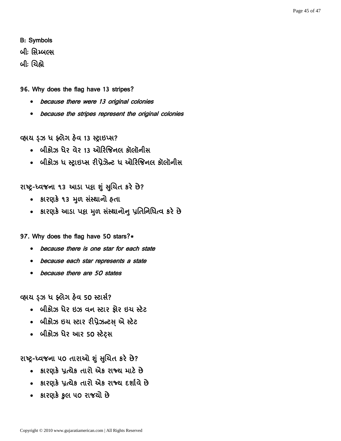### B: Symbols

બીઃ સિમ્બલ્સ

<u> બીઃ ચિહ્નો</u>

#### 96. Why does the flag have 13 stripes?

- because there were 13 original colonies
- because the stripes represent the original colonies

વ્હાય ડઝ ધ ફ્લેગ હેવ 13 સ્ટ્રાઇપ્સ?

- બીકોઝ ધેર વેર 13 ઓરિજિનલ કૉલૉનીસ
- બીકોઝ ધ સ્ટ્રાઇપ્સ રીપ્રેઝેન્ટ ધ ઓરિજિનલ કૉલૉનીસ

રાષ્ટ્ર-ધ્વજના ૧૩ આડા પદ્ય શું સુચિત કરે છે?

- કારણકે ૧૩ મૂળ સંસ્થાનો હતા
- કારણકે આડા પદ્ય મળ સંસ્થાનોન પ્રતિનિધિત્વ કરે છે

97. Why does the flag have 50 stars?\*

- because there is one star for each state
- because each star represents a state
- because there are 50 states

વ્હાય ડ઼ઝ ધ ફ્લેગ હેવ 50 સ્ટાર્સ?

- બીકોઝ ધેર ઇઝ વન સ્ટાર ફોર ઇચ સ્ટેટ
- બીકોઝ ઇચ સ્ટાર રીપ્રેઝન્ટસ એ સ્ટેટ
- બીકોઝ ધેર આર 50 સ્ટેટ્સ

## રાષ્ટ્ર-ધ્વજના ૫૦ તારાઓ શું સુચિત કરે છે?

- કારણકે પ્રત્યેક તારો એક રાજ્ય માટે છે
- કારણકે પ્રત્યેક તારો એક રાજ્ય દર્શાવે છે
- કારણકે કુલ ૫૦ રાજચો છે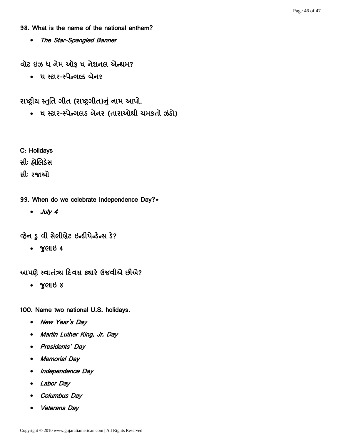#### 98. What is the name of the national anthem?

• The Star-Spangled Banner

વૉટ ઇઝ ધ નેમ ઑફ ધ નેશનલ એન્થમ?

• ધ સ્ટાર-સ્પેન્ગલ્ડ બૅનર

રાષ્ટ્રીય સ્તુતિ ગીત (રાષ્ટ્રગીત)નું નામ આપો.

• ધ સ્ટાર-સ્પેન્ગલડ બેનર (તારાઓથી ચમકતો ઝંડો)

C: Holidays

સીઃ હ્રોલિડેસ

સીઃ રજાઓ

- 99. When do we celebrate Independence Day?\*
	- July 4

વ્હેન ડુ વી સેલીબ્રેટ ઇન્ડીપેન્ડેન્સ ડે?

 $\bullet$  % GUS 4

આપણે સ્વાતંત્ર્ય દિવસ ક્યારે ઉજવીએ છીએ?

• જુલાઇ ૪

100. Name two national U.S. holidays.

- New Year's Day
- Martin Luther King, Jr. Day
- Presidents' Day
- Memorial Day
- Independence Day
- Labor Day
- Columbus Day
- Veterans Day